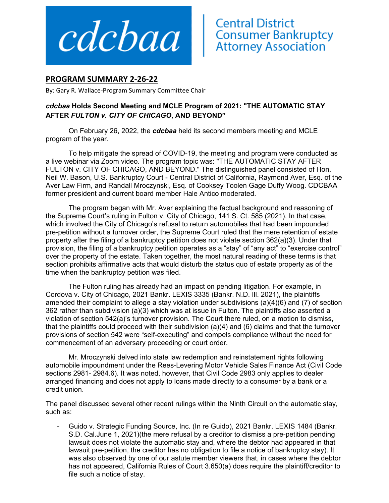

## **PROGRAM SUMMARY 2‐26‐22**

By: Gary R. Wallace‐Program Summary Committee Chair

## *cdcbaa* **Holds Second Meeting and MCLE Program of 2021: "THE AUTOMATIC STAY AFTER** *FULTON v. CITY OF CHICAGO***, AND BEYOND"**

On February 26, 2022, the *cdcbaa* held its second members meeting and MCLE program of the year.

To help mitigate the spread of COVID-19, the meeting and program were conducted as a live webinar via Zoom video. The program topic was: "THE AUTOMATIC STAY AFTER FULTON v. CITY OF CHICAGO, AND BEYOND." The distinguished panel consisted of Hon. Neil W. Bason, U.S. Bankruptcy Court - Central District of California, Raymond Aver, Esq. of the Aver Law Firm, and Randall Mroczynski, Esq. of Cooksey Toolen Gage Duffy Woog. CDCBAA former president and current board member Hale Antico moderated.

The program began with Mr. Aver explaining the factual background and reasoning of the Supreme Court's ruling in Fulton v. City of Chicago, 141 S. Ct. 585 (2021). In that case, which involved the City of Chicago's refusal to return automobiles that had been impounded pre-petition without a turnover order, the Supreme Court ruled that the mere retention of estate property after the filing of a bankruptcy petition does not violate section 362(a)(3). Under that provision, the filing of a bankruptcy petition operates as a "stay" of "any act" to "exercise control" over the property of the estate. Taken together, the most natural reading of these terms is that section prohibits affirmative acts that would disturb the status quo of estate property as of the time when the bankruptcy petition was filed.

The Fulton ruling has already had an impact on pending litigation. For example, in Cordova v. City of Chicago, 2021 Bankr. LEXIS 3335 (Bankr. N.D. Ill. 2021), the plaintiffs amended their complaint to allege a stay violation under subdivisions (a)(4)(6) and (7) of section 362 rather than subdivision (a)(3) which was at issue in Fulton. The plaintiffs also asserted a violation of section 542(a)'s turnover provision. The Court there ruled, on a motion to dismiss, that the plaintiffs could proceed with their subdivision (a)(4) and (6) claims and that the turnover provisions of section 542 were "self-executing" and compels compliance without the need for commencement of an adversary proceeding or court order.

Mr. Mroczynski delved into state law redemption and reinstatement rights following automobile impoundment under the Rees-Levering Motor Vehicle Sales Finance Act (Civil Code sections 2981- 2984.6). It was noted, however, that Civil Code 2983 only applies to dealer arranged financing and does not apply to loans made directly to a consumer by a bank or a credit union.

The panel discussed several other recent rulings within the Ninth Circuit on the automatic stay, such as:

Guido v. Strategic Funding Source, Inc. (In re Guido), 2021 Bankr. LEXIS 1484 (Bankr. S.D. Cal.June 1, 2021)(the mere refusal by a creditor to dismiss a pre-petition pending lawsuit does not violate the automatic stay and, where the debtor had appeared in that lawsuit pre-petition, the creditor has no obligation to file a notice of bankruptcy stay). It was also observed by one of our astute member viewers that, in cases where the debtor has not appeared, California Rules of Court 3.650(a) does require the plaintiff/creditor to file such a notice of stay.